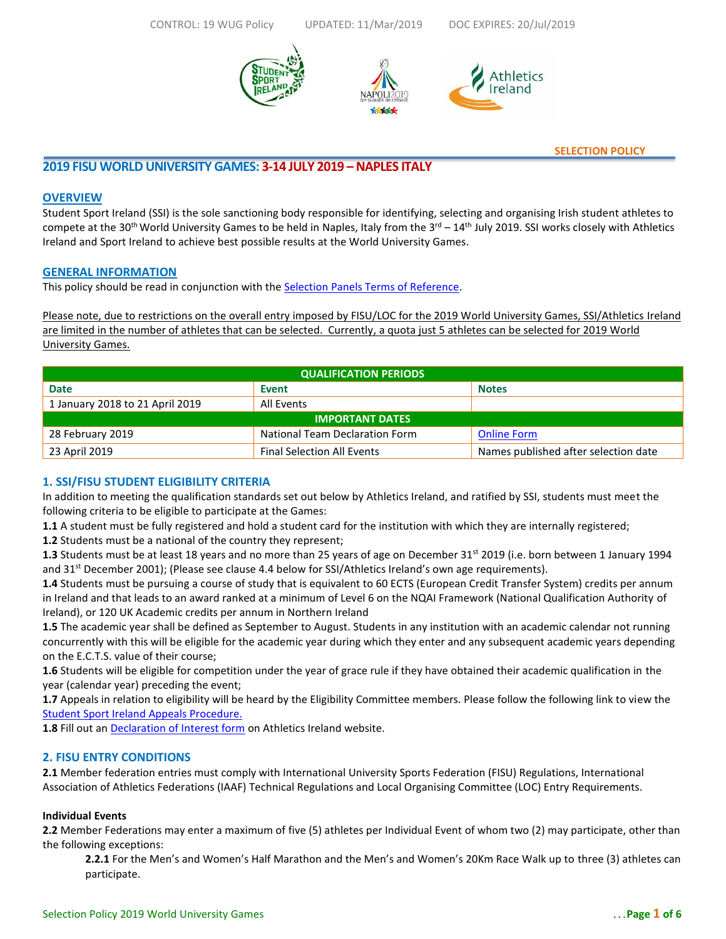**Athletics** 



**SELECTION POLICY**

# **2019 FISU WORLDUNIVERSITY GAMES: 3-14 JULY 2019 –NAPLES ITALY**

## **OVERVIEW**

Student Sport Ireland (SSI) is the sole sanctioning body responsible for identifying, selecting and organising Irish student athletes to compete at the 30<sup>th</sup> World University Games to be held in Naples, Italy from the 3<sup>rd</sup> – 14<sup>th</sup> July 2019. SSI works closely with Athletics Ireland and Sport Ireland to achieve best possible results at the World University Games.

## **GENERAL INFORMATION**

This policy should be read in conjunction with the [Selection Panels Terms of Reference.](https://athleticsireland.app.box.com/v/SelectorsTermsOfReference)

Please note, due to restrictions on the overall entry imposed by FISU/LOC for the 2019 World University Games, SSI/Athletics Ireland are limited in the number of athletes that can be selected. Currently, a quota just 5 athletes can be selected for 2019 World University Games.

| <b>QUALIFICATION PERIODS</b>    |                                       |                                      |  |  |  |
|---------------------------------|---------------------------------------|--------------------------------------|--|--|--|
| <b>Date</b>                     | Event                                 | <b>Notes</b>                         |  |  |  |
| 1 January 2018 to 21 April 2019 | All Events                            |                                      |  |  |  |
| <b>IMPORTANT DATES</b>          |                                       |                                      |  |  |  |
| 28 February 2019                | <b>National Team Declaration Form</b> | <b>Online Form</b>                   |  |  |  |
| 23 April 2019                   | <b>Final Selection All Events</b>     | Names published after selection date |  |  |  |

# **1. SSI/FISU STUDENT ELIGIBILITY CRITERIA**

In addition to meeting the qualification standards set out below by Athletics Ireland, and ratified by SSI, students must meet the following criteria to be eligible to participate at the Games:

**1.1** A student must be fully registered and hold a student card for the institution with which they are internally registered;

**1.2** Students must be a national of the country they represent;

**1.3** Students must be at least 18 years and no more than 25 years of age on December 31st 2019 (i.e. born between 1 January 1994 and 31<sup>st</sup> December 2001); (Please see clause 4.4 below for SSI/Athletics Ireland's own age requirements).

**1.4** Students must be pursuing a course of study that is equivalent to 60 ECTS (European Credit Transfer System) credits per annum in Ireland and that leads to an award ranked at a minimum of Level 6 on the NQAI Framework (National Qualification Authority of Ireland), or 120 UK Academic credits per annum in Northern Ireland

**1.5** The academic year shall be defined as September to August. Students in any institution with an academic calendar not running concurrently with this will be eligible for the academic year during which they enter and any subsequent academic years depending on the E.C.T.S. value of their course;

**1.6** Students will be eligible for competition under the year of grace rule if they have obtained their academic qualification in the year (calendar year) preceding the event;

**1.7** Appeals in relation to eligibility will be heard by the Eligibility Committee members. Please follow the following link to view the [Student Sport Ireland Appeals Procedure.](http://www.studentsport.ie/?page_id=7126)

**1.8** Fill out an [Declaration of Interest form](https://docs.google.com/forms/d/e/1FAIpQLSdPTzzYACVPYwuMUzyyu_aKTiwtGQPSCcA-0_0wAQE_bwR4CA/viewform) on Athletics Ireland website.

## **2. FISU ENTRY CONDITIONS**

**2.1** Member federation entries must comply with International University Sports Federation (FISU) Regulations, International Association of Athletics Federations (IAAF) Technical Regulations and Local Organising Committee (LOC) Entry Requirements.

## **Individual Events**

**2.2** Member Federations may enter a maximum of five (5) athletes per Individual Event of whom two (2) may participate, other than the following exceptions:

**2.2.1** For the Men's and Women's Half Marathon and the Men's and Women's 20Km Race Walk up to three (3) athletes can participate.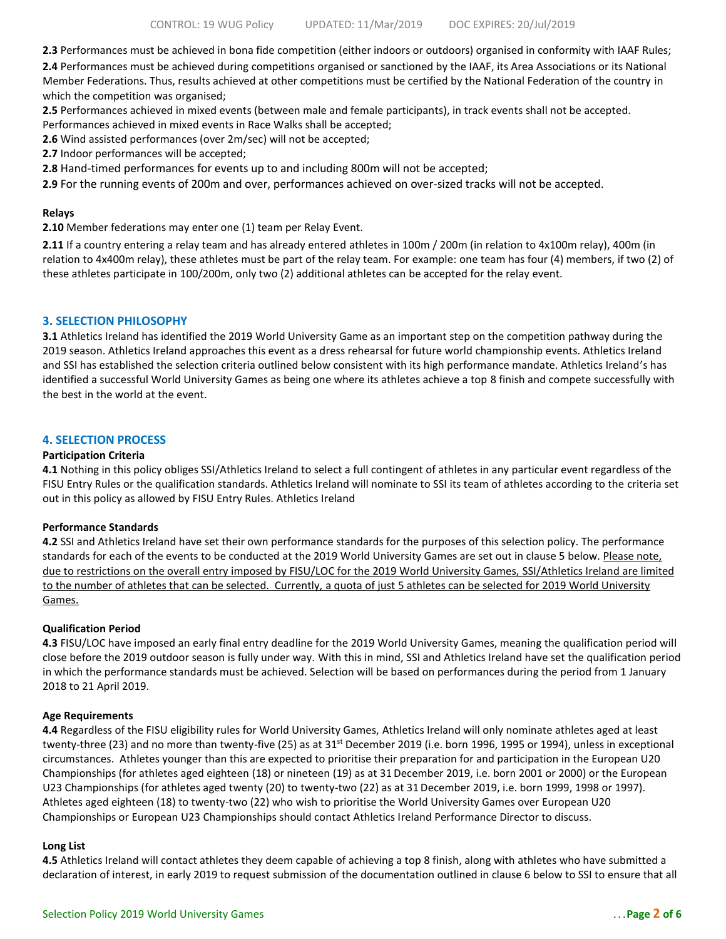**2.3** Performances must be achieved in bona fide competition (either indoors or outdoors) organised in conformity with IAAF Rules;

**2.4** Performances must be achieved during competitions organised or sanctioned by the IAAF, its Area Associations or its National Member Federations. Thus, results achieved at other competitions must be certified by the National Federation of the country in which the competition was organised;

**2.5** Performances achieved in mixed events (between male and female participants), in track events shall not be accepted.

Performances achieved in mixed events in Race Walks shall be accepted;

**2.6** Wind assisted performances (over 2m/sec) will not be accepted;

**2.7** Indoor performances will be accepted;

**2.8** Hand-timed performances for events up to and including 800m will not be accepted;

**2.9** For the running events of 200m and over, performances achieved on over-sized tracks will not be accepted.

#### **Relays**

**2.10** Member federations may enter one (1) team per Relay Event.

**2.11** If a country entering a relay team and has already entered athletes in 100m / 200m (in relation to 4x100m relay), 400m (in relation to 4x400m relay), these athletes must be part of the relay team. For example: one team has four (4) members, if two (2) of these athletes participate in 100/200m, only two (2) additional athletes can be accepted for the relay event.

### **3. SELECTION PHILOSOPHY**

**3.1** Athletics Ireland has identified the 2019 World University Game as an important step on the competition pathway during the 2019 season. Athletics Ireland approaches this event as a dress rehearsal for future world championship events. Athletics Ireland and SSI has established the selection criteria outlined below consistent with its high performance mandate. Athletics Ireland's has identified a successful World University Games as being one where its athletes achieve a top 8 finish and compete successfully with the best in the world at the event.

## **4. SELECTION PROCESS**

#### **Participation Criteria**

**4.1** Nothing in this policy obliges SSI/Athletics Ireland to select a full contingent of athletes in any particular event regardless of the FISU Entry Rules or the qualification standards. Athletics Ireland will nominate to SSI its team of athletes according to the criteria set out in this policy as allowed by FISU Entry Rules. Athletics Ireland

#### **Performance Standards**

**4.2** SSI and Athletics Ireland have set their own performance standards for the purposes of this selection policy. The performance standards for each of the events to be conducted at the 2019 World University Games are set out in clause 5 below. Please note, due to restrictions on the overall entry imposed by FISU/LOC for the 2019 World University Games, SSI/Athletics Ireland are limited to the number of athletes that can be selected. Currently, a quota of just 5 athletes can be selected for 2019 World University Games.

#### **Qualification Period**

**4.3** FISU/LOC have imposed an early final entry deadline for the 2019 World University Games, meaning the qualification period will close before the 2019 outdoor season is fully under way. With this in mind, SSI and Athletics Ireland have set the qualification period in which the performance standards must be achieved. Selection will be based on performances during the period from 1 January 2018 to 21 April 2019.

#### **Age Requirements**

**4.4** Regardless of the FISU eligibility rules for World University Games, Athletics Ireland will only nominate athletes aged at least twenty-three (23) and no more than twenty-five (25) as at  $31<sup>st</sup>$  December 2019 (i.e. born 1996, 1995 or 1994), unless in exceptional circumstances. Athletes younger than this are expected to prioritise their preparation for and participation in the European U20 Championships (for athletes aged eighteen (18) or nineteen (19) as at 31 December 2019, i.e. born 2001 or 2000) or the European U23 Championships (for athletes aged twenty (20) to twenty-two (22) as at 31December 2019, i.e. born 1999, 1998 or 1997). Athletes aged eighteen (18) to twenty-two (22) who wish to prioritise the World University Games over European U20 Championships or European U23 Championships should contact Athletics Ireland Performance Director to discuss.

#### **Long List**

**4.5** Athletics Ireland will contact athletes they deem capable of achieving a top 8 finish, along with athletes who have submitted a declaration of interest, in early 2019 to request submission of the documentation outlined in clause 6 below to SSI to ensure that all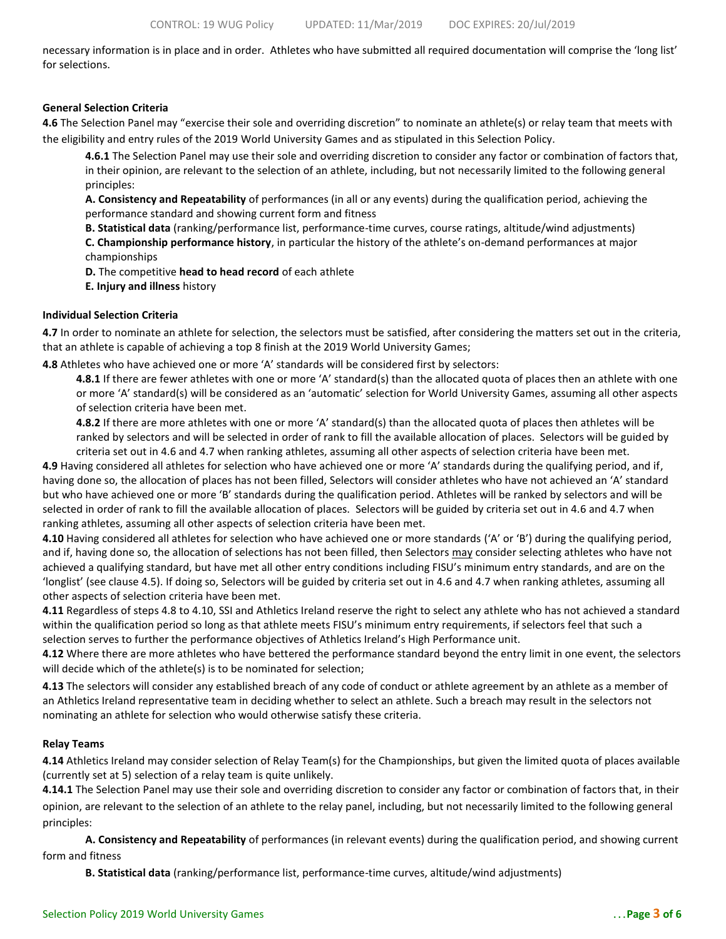necessary information is in place and in order. Athletes who have submitted all required documentation will comprise the 'long list' for selections.

### **General Selection Criteria**

**4.6** The Selection Panel may "exercise their sole and overriding discretion" to nominate an athlete(s) or relay team that meets with the eligibility and entry rules of the 2019 World University Games and as stipulated in this Selection Policy.

**4.6.1** The Selection Panel may use their sole and overriding discretion to consider any factor or combination of factors that, in their opinion, are relevant to the selection of an athlete, including, but not necessarily limited to the following general principles:

**A. Consistency and Repeatability** of performances (in all or any events) during the qualification period, achieving the performance standard and showing current form and fitness

**B. Statistical data** (ranking/performance list, performance-time curves, course ratings, altitude/wind adjustments) **C. Championship performance history**, in particular the history of the athlete's on-demand performances at major championships

**D.** The competitive **head to head record** of each athlete

**E. Injury and illness** history

### **Individual Selection Criteria**

**4.7** In order to nominate an athlete for selection, the selectors must be satisfied, after considering the matters set out in the criteria, that an athlete is capable of achieving a top 8 finish at the 2019 World University Games;

**4.8** Athletes who have achieved one or more 'A' standards will be considered first by selectors:

**4.8.1** If there are fewer athletes with one or more 'A' standard(s) than the allocated quota of places then an athlete with one or more 'A' standard(s) will be considered as an 'automatic' selection for World University Games, assuming all other aspects of selection criteria have been met.

**4.8.2** If there are more athletes with one or more 'A' standard(s) than the allocated quota of places then athletes will be ranked by selectors and will be selected in order of rank to fill the available allocation of places. Selectors will be guided by criteria set out in 4.6 and 4.7 when ranking athletes, assuming all other aspects of selection criteria have been met.

**4.9** Having considered all athletes for selection who have achieved one or more 'A' standards during the qualifying period, and if, having done so, the allocation of places has not been filled, Selectors will consider athletes who have not achieved an 'A' standard but who have achieved one or more 'B' standards during the qualification period. Athletes will be ranked by selectors and will be selected in order of rank to fill the available allocation of places. Selectors will be guided by criteria set out in 4.6 and 4.7 when ranking athletes, assuming all other aspects of selection criteria have been met.

**4.10** Having considered all athletes for selection who have achieved one or more standards ('A' or 'B') during the qualifying period, and if, having done so, the allocation of selections has not been filled, then Selectors may consider selecting athletes who have not achieved a qualifying standard, but have met all other entry conditions including FISU's minimum entry standards, and are on the 'longlist' (see clause 4.5). If doing so, Selectors will be guided by criteria set out in 4.6 and 4.7 when ranking athletes, assuming all other aspects of selection criteria have been met.

**4.11** Regardless of steps 4.8 to 4.10, SSI and Athletics Ireland reserve the right to select any athlete who has not achieved a standard within the qualification period so long as that athlete meets FISU's minimum entry requirements, if selectors feel that such a selection serves to further the performance objectives of Athletics Ireland's High Performance unit.

**4.12** Where there are more athletes who have bettered the performance standard beyond the entry limit in one event, the selectors will decide which of the athlete(s) is to be nominated for selection;

**4.13** The selectors will consider any established breach of any code of conduct or athlete agreement by an athlete as a member of an Athletics Ireland representative team in deciding whether to select an athlete. Such a breach may result in the selectors not nominating an athlete for selection who would otherwise satisfy these criteria.

## **Relay Teams**

**4.14** Athletics Ireland may consider selection of Relay Team(s) for the Championships, but given the limited quota of places available (currently set at 5) selection of a relay team is quite unlikely.

**4.14.1** The Selection Panel may use their sole and overriding discretion to consider any factor or combination of factors that, in their opinion, are relevant to the selection of an athlete to the relay panel, including, but not necessarily limited to the following general principles:

**A. Consistency and Repeatability** of performances (in relevant events) during the qualification period, and showing current form and fitness

**B. Statistical data** (ranking/performance list, performance-time curves, altitude/wind adjustments)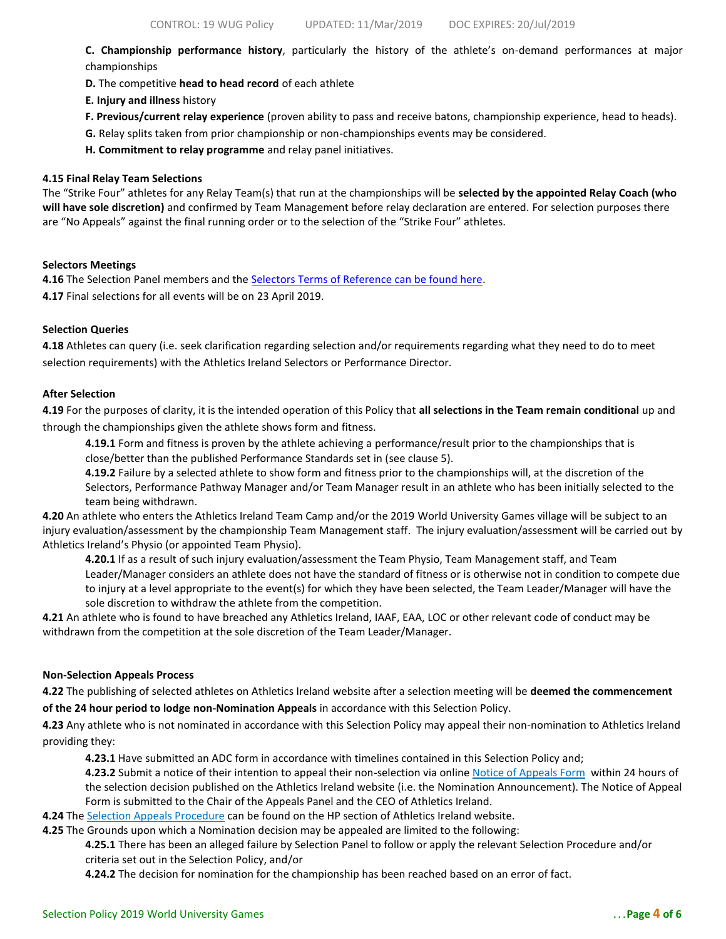**C. Championship performance history**, particularly the history of the athlete's on-demand performances at major championships

- **D.** The competitive **head to head record** of each athlete
- **E. Injury and illness** history
- **F. Previous/current relay experience** (proven ability to pass and receive batons, championship experience, head to heads).
- **G.** Relay splits taken from prior championship or non-championships events may be considered.
- **H. Commitment to relay programme** and relay panel initiatives.

#### **4.15 Final Relay Team Selections**

The "Strike Four" athletes for any Relay Team(s) that run at the championships will be **selected by the appointed Relay Coach (who will have sole discretion)** and confirmed by Team Management before relay declaration are entered. For selection purposes there are "No Appeals" against the final running order or to the selection of the "Strike Four" athletes.

### **Selectors Meetings**

4.16 The Selection Panel members and the **Selectors Terms of Reference can be found here**. **4.17** Final selections for all events will be on 23 April 2019.

### **Selection Queries**

**4.18** Athletes can query (i.e. seek clarification regarding selection and/or requirements regarding what they need to do to meet selection requirements) with the Athletics Ireland Selectors or Performance Director.

#### **After Selection**

**4.19** For the purposes of clarity, it is the intended operation of this Policy that **all selections in the Team remain conditional** up and through the championships given the athlete shows form and fitness.

**4.19.1** Form and fitness is proven by the athlete achieving a performance/result prior to the championships that is close/better than the published Performance Standards set in (see clause 5).

**4.19.2** Failure by a selected athlete to show form and fitness prior to the championships will, at the discretion of the Selectors, Performance Pathway Manager and/or Team Manager result in an athlete who has been initially selected to the team being withdrawn.

**4.20** An athlete who enters the Athletics Ireland Team Camp and/or the 2019 World University Games village will be subject to an injury evaluation/assessment by the championship Team Management staff. The injury evaluation/assessment will be carried out by Athletics Ireland's Physio (or appointed Team Physio).

**4.20.1** If as a result of such injury evaluation/assessment the Team Physio, Team Management staff, and Team Leader/Manager considers an athlete does not have the standard of fitness or is otherwise not in condition to compete due to injury at a level appropriate to the event(s) for which they have been selected, the Team Leader/Manager will have the sole discretion to withdraw the athlete from the competition.

**4.21** An athlete who is found to have breached any Athletics Ireland, IAAF, EAA, LOC or other relevant code of conduct may be withdrawn from the competition at the sole discretion of the Team Leader/Manager.

#### **Non-Selection Appeals Process**

**4.22** The publishing of selected athletes on Athletics Ireland website after a selection meeting will be **deemed the commencement of the 24 hour period to lodge non-Nomination Appeals** in accordance with this Selection Policy.

**4.23** Any athlete who is not nominated in accordance with this Selection Policy may appeal their non-nomination to Athletics Ireland providing they:

**4.23.1** Have submitted an ADC form in accordance with timelines contained in this Selection Policy and;

**4.23.2** Submit a notice of their intention to appeal their non-selection via onlin[e Notice of Appeals Form](https://docs.google.com/forms/d/e/1FAIpQLScVniJu4p1N4jUQLR-_o1aepIStZFYiR2zpSdnExmU1yCuWgA/viewform?usp=sf_link) within 24 hours of the selection decision published on the Athletics Ireland website (i.e. the Nomination Announcement). The Notice of Appeal Form is submitted to the Chair of the Appeals Panel and the CEO of Athletics Ireland*.*

**4.24** The [Selection Appeals Procedure](https://athleticsireland.app.box.com/v/appealspolicy) can be found on the HP section of Athletics Ireland website.

**4.25** The Grounds upon which a Nomination decision may be appealed are limited to the following:

**4.25.1** There has been an alleged failure by Selection Panel to follow or apply the relevant Selection Procedure and/or criteria set out in the Selection Policy, and/or

**4.24.2** The decision for nomination for the championship has been reached based on an error of fact.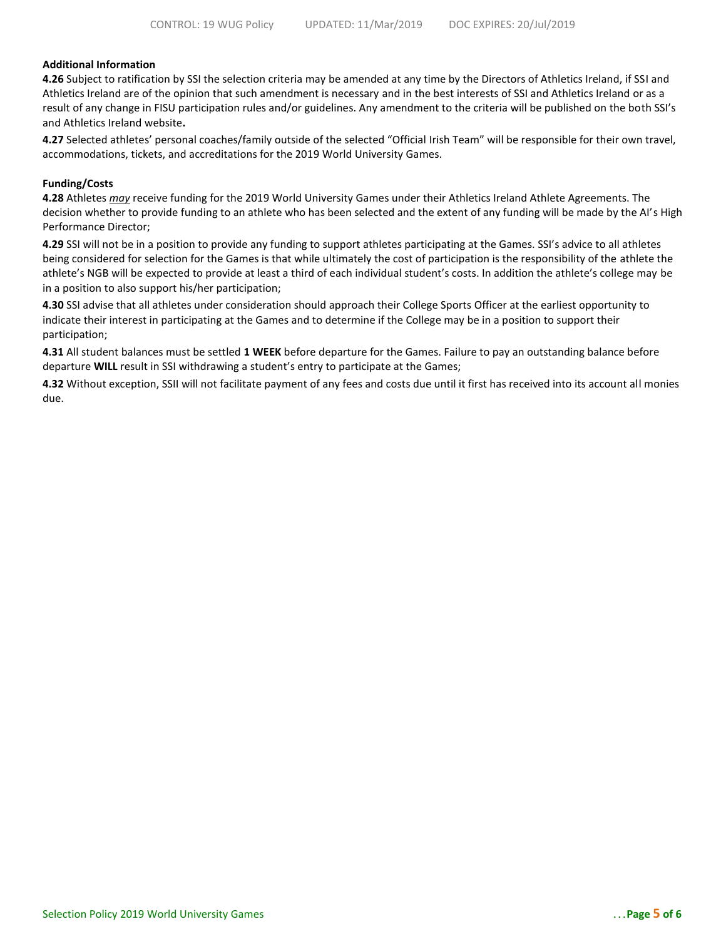## **Additional Information**

**4.26** Subject to ratification by SSI the selection criteria may be amended at any time by the Directors of Athletics Ireland, if SSI and Athletics Ireland are of the opinion that such amendment is necessary and in the best interests of SSI and Athletics Ireland or as a result of any change in FISU participation rules and/or guidelines. Any amendment to the criteria will be published on the both SSI's and Athletics Ireland website**.** 

**4.27** Selected athletes' personal coaches/family outside of the selected "Official Irish Team" will be responsible for their own travel, accommodations, tickets, and accreditations for the 2019 World University Games.

#### **Funding/Costs**

**4.28** Athletes *may* receive funding for the 2019 World University Games under their Athletics Ireland Athlete Agreements. The decision whether to provide funding to an athlete who has been selected and the extent of any funding will be made by the AI's High Performance Director;

**4.29** SSI will not be in a position to provide any funding to support athletes participating at the Games. SSI's advice to all athletes being considered for selection for the Games is that while ultimately the cost of participation is the responsibility of the athlete the athlete's NGB will be expected to provide at least a third of each individual student's costs. In addition the athlete's college may be in a position to also support his/her participation;

**4.30** SSI advise that all athletes under consideration should approach their College Sports Officer at the earliest opportunity to indicate their interest in participating at the Games and to determine if the College may be in a position to support their participation;

**4.31** All student balances must be settled **1 WEEK** before departure for the Games. Failure to pay an outstanding balance before departure **WILL** result in SSI withdrawing a student's entry to participate at the Games;

**4.32** Without exception, SSII will not facilitate payment of any fees and costs due until it first has received into its account all monies due.